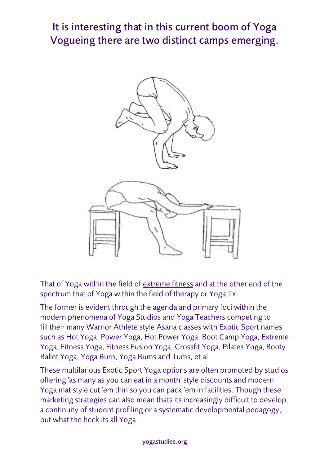## It is interesting that in this current boom of Yoga Vogueing there are two distinct camps emerging.



That of Yoga within the field of extreme fitness and at the other end of the spectrum that of Yoga within the field of therapy or Yoga Tx.

The former is evident through the agenda and primary foci within the modern phenomena of Yoga Studios and Yoga Teachers competing to fill their many Warrior Athlete style Āsana classes with Exotic Sport names such as Hot Yoga, Power Yoga, Hot Power Yoga, Boot Camp Yoga, Extreme Yoga, Fitness Yoga, Fitness Fusion Yoga, Crossfit Yoga, Pilates Yoga, Booty Ballet Yoga, Yoga Burn, Yoga Bums and Tums, et al.

These multifarious Exotic Sport Yoga options are often promoted by studios offering 'as many as you can eat in a month' style discounts and modern Yoga mat style cut 'em thin so you can pack 'em in facilities. Though these marketing strategies can also mean thats its increasingly difficult to develop a continuity of student profiling or a systematic developmental pedagogy, but what the heck its all Yoga.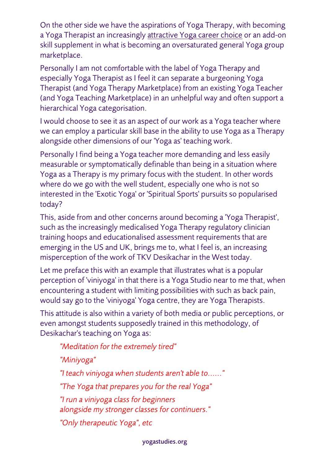On the other side we have the aspirations of Yoga Therapy, with becoming a Yoga Therapist an increasingly attractive Yoga career choice or an add-on skill supplement in what is becoming an oversaturated general Yoga group marketplace.

Personally I am not comfortable with the label of Yoga Therapy and especially Yoga Therapist as I feel it can separate a burgeoning Yoga Therapist (and Yoga Therapy Marketplace) from an existing Yoga Teacher (and Yoga Teaching Marketplace) in an unhelpful way and often support a hierarchical Yoga categorisation.

I would choose to see it as an aspect of our work as a Yoga teacher where we can employ a particular skill base in the ability to use Yoga as a Therapy alongside other dimensions of our 'Yoga as' teaching work.

Personally I find being a Yoga teacher more demanding and less easily measurable or symptomatically definable than being in a situation where Yoga as a Therapy is my primary focus with the student. In other words where do we go with the well student, especially one who is not so interested in the 'Exotic Yoga' or 'Spiritual Sports' pursuits so popularised today?

This, aside from and other concerns around becoming a 'Yoga Therapist', such as the increasingly medicalised Yoga Therapy regulatory clinician training hoops and educationalised assessment requirements that are emerging in the US and UK, brings me to, what I feel is, an increasing misperception of the work of TKV Desikachar in the West today.

Let me preface this with an example that illustrates what is a popular perception of 'viniyoga' in that there is a Yoga Studio near to me that, when encountering a student with limiting possibilities with such as back pain, would say go to the 'viniyoga' Yoga centre, they are Yoga Therapists.

This attitude is also within a variety of both media or public perceptions, or even amongst students supposedly trained in this methodology, of Desikachar's teaching on Yoga as:

*"Meditation for the extremely tired" "Miniyoga" "I teach viniyoga when students aren't able to......" "The Yoga that prepares you for the real Yoga" "I run a viniyoga class for beginners alongside my stronger classes for continuers." "Only therapeutic Yoga", etc*

## yogastudies.org